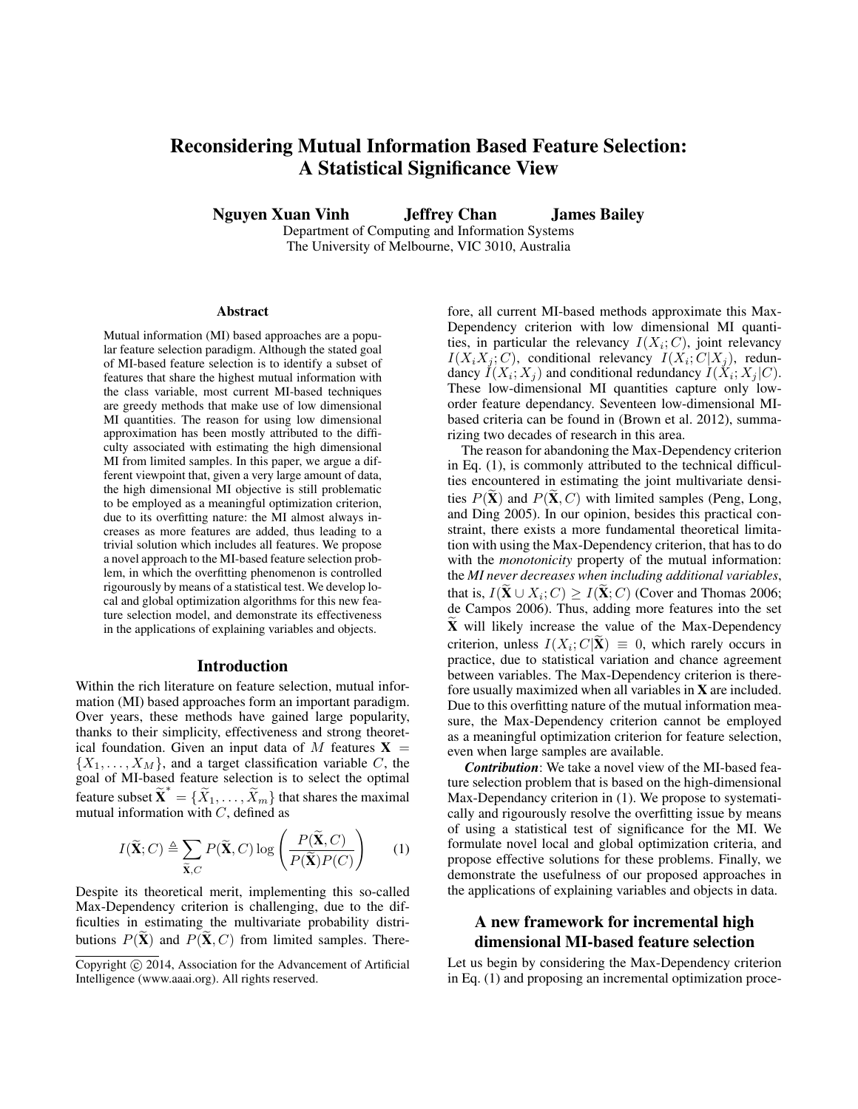# Reconsidering Mutual Information Based Feature Selection: A Statistical Significance View

Nguyen Xuan Vinh Jeffrey Chan James Bailey

Department of Computing and Information Systems The University of Melbourne, VIC 3010, Australia

#### Abstract

Mutual information (MI) based approaches are a popular feature selection paradigm. Although the stated goal of MI-based feature selection is to identify a subset of features that share the highest mutual information with the class variable, most current MI-based techniques are greedy methods that make use of low dimensional MI quantities. The reason for using low dimensional approximation has been mostly attributed to the difficulty associated with estimating the high dimensional MI from limited samples. In this paper, we argue a different viewpoint that, given a very large amount of data, the high dimensional MI objective is still problematic to be employed as a meaningful optimization criterion, due to its overfitting nature: the MI almost always increases as more features are added, thus leading to a trivial solution which includes all features. We propose a novel approach to the MI-based feature selection problem, in which the overfitting phenomenon is controlled rigourously by means of a statistical test. We develop local and global optimization algorithms for this new feature selection model, and demonstrate its effectiveness in the applications of explaining variables and objects.

#### Introduction

Within the rich literature on feature selection, mutual information (MI) based approaches form an important paradigm. Over years, these methods have gained large popularity, thanks to their simplicity, effectiveness and strong theoretical foundation. Given an input data of M features  $X =$  $\{X_1, \ldots, X_M\}$ , and a target classification variable C, the goal of MI-based feature selection is to select the optimal feature subset  $\widetilde{\mathbf{X}}^* = {\widetilde{X}_1, \ldots, \widetilde{X}_m}$  that shares the maximal mutual information with  $C$ , defined as

$$
I(\widetilde{\mathbf{X}}; C) \triangleq \sum_{\widetilde{\mathbf{X}}, C} P(\widetilde{\mathbf{X}}, C) \log \left( \frac{P(\widetilde{\mathbf{X}}, C)}{P(\widetilde{\mathbf{X}}) P(C)} \right) \tag{1}
$$

Despite its theoretical merit, implementing this so-called Max-Dependency criterion is challenging, due to the difficulties in estimating the multivariate probability distributions  $P(\mathbf{X})$  and  $P(\mathbf{X}, C)$  from limited samples. Therefore, all current MI-based methods approximate this Max-Dependency criterion with low dimensional MI quantities, in particular the relevancy  $I(X_i; C)$ , joint relevancy  $I(X_iX_j;C)$ , conditional relevancy  $I(X_i;C|X_j)$ , redundancy  $I(X_i; X_j)$  and conditional redundancy  $I(X_i; X_j | C)$ . These low-dimensional MI quantities capture only loworder feature dependancy. Seventeen low-dimensional MIbased criteria can be found in (Brown et al. 2012), summarizing two decades of research in this area.

The reason for abandoning the Max-Dependency criterion in Eq. (1), is commonly attributed to the technical difficulties encountered in estimating the joint multivariate densities  $P(X)$  and  $P(X, C)$  with limited samples (Peng, Long, and Ding 2005). In our opinion, besides this practical constraint, there exists a more fundamental theoretical limitation with using the Max-Dependency criterion, that has to do with the *monotonicity* property of the mutual information: the *MI never decreases when including additional variables*, that is,  $I(\mathbf{X} \cup X_i; C) \ge I(\mathbf{X}; C)$  (Cover and Thomas 2006; de Campos 2006). Thus, adding more features into the set  $X$  will likely increase the value of the Max-Dependency criterion, unless  $I(X_i; C | \mathbf{X}) \equiv 0$ , which rarely occurs in practice, due to statistical variation and chance agreement between variables. The Max-Dependency criterion is therefore usually maximized when all variables in X are included. Due to this overfitting nature of the mutual information measure, the Max-Dependency criterion cannot be employed as a meaningful optimization criterion for feature selection, even when large samples are available.

*Contribution*: We take a novel view of the MI-based feature selection problem that is based on the high-dimensional Max-Dependancy criterion in (1). We propose to systematically and rigourously resolve the overfitting issue by means of using a statistical test of significance for the MI. We formulate novel local and global optimization criteria, and propose effective solutions for these problems. Finally, we demonstrate the usefulness of our proposed approaches in the applications of explaining variables and objects in data.

## A new framework for incremental high dimensional MI-based feature selection

Let us begin by considering the Max-Dependency criterion in Eq. (1) and proposing an incremental optimization proce-

Copyright (c) 2014, Association for the Advancement of Artificial Intelligence (www.aaai.org). All rights reserved.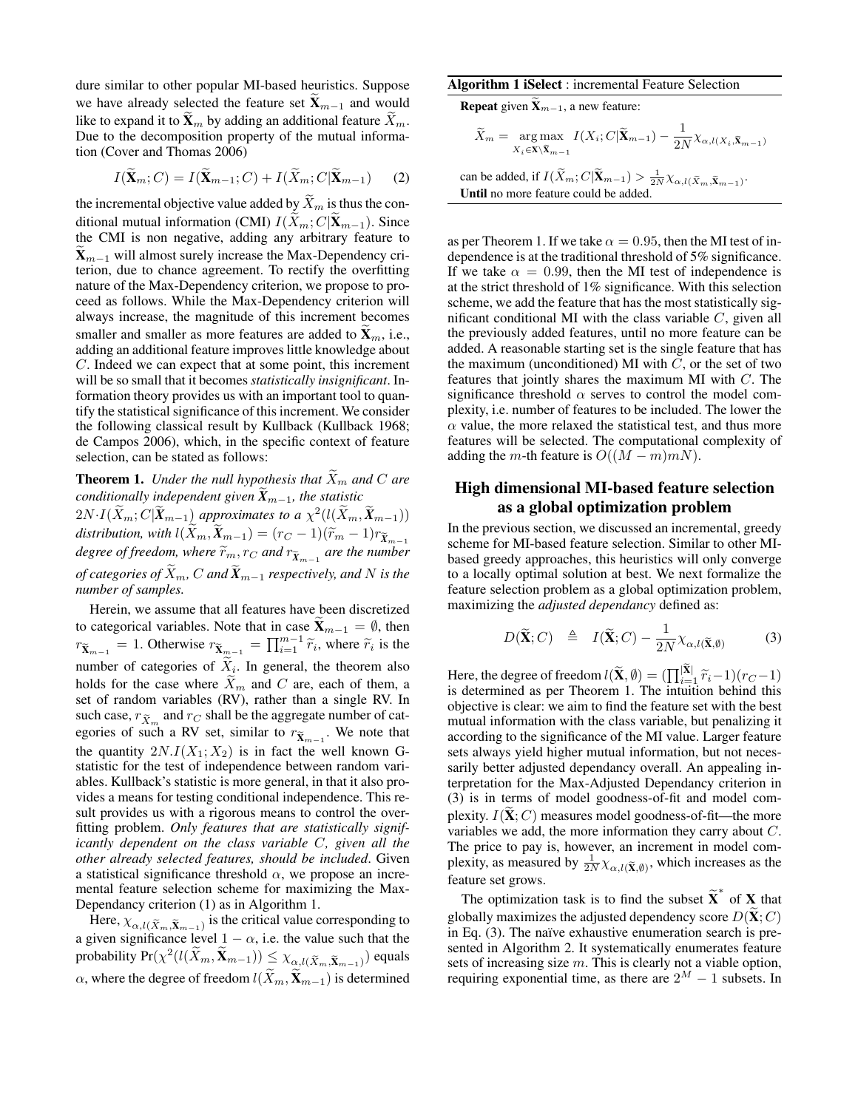dure similar to other popular MI-based heuristics. Suppose we have already selected the feature set  $\widetilde{\mathbf{X}}_{m-1}$  and would like to expand it to  $\widetilde{\mathbf{X}}_m$  by adding an additional feature  $\widetilde{X}_m$ . Due to the decomposition property of the mutual information (Cover and Thomas 2006)

$$
I(\widetilde{\mathbf{X}}_m; C) = I(\widetilde{\mathbf{X}}_{m-1}; C) + I(\widetilde{X}_m; C | \widetilde{\mathbf{X}}_{m-1})
$$
 (2)

the incremental objective value added by  $\widetilde{X}_m$  is thus the conditional mutual information (CMI)  $I(\bar{X}_m; C|\bar{\mathbf{X}}_{m-1})$ . Since the CMI is non negative, adding any arbitrary feature to  $X_{m-1}$  will almost surely increase the Max-Dependency criterion, due to chance agreement. To rectify the overfitting nature of the Max-Dependency criterion, we propose to proceed as follows. While the Max-Dependency criterion will always increase, the magnitude of this increment becomes smaller and smaller as more features are added to  $\mathbf{X}_m$ , i.e., adding an additional feature improves little knowledge about C. Indeed we can expect that at some point, this increment will be so small that it becomes *statistically insignificant*. Information theory provides us with an important tool to quantify the statistical significance of this increment. We consider the following classical result by Kullback (Kullback 1968; de Campos 2006), which, in the specific context of feature selection, can be stated as follows:

**Theorem 1.** *Under the null hypothesis that*  $\widetilde{X}_m$  *and*  $C$  *are conditionally independent given*  $\widetilde{X}_{m-1}$ *, the statistic*  $2N \cdot I(\widetilde{X}_m; C | \widetilde{X}_{m-1})$  *approximates to a*  $\chi^2(l(\widetilde{X}_m, \widetilde{X}_{m-1}))$ *distribution, with*  $l(\widetilde{X}_m, \widetilde{X}_{m-1}) = (r_C - 1)(\widetilde{r}_m - 1)r_{\widetilde{X}_{m-1}}$ *degree of freedom, where*  $\widetilde{r}_m$ ,  $r_C$  *and*  $r_{\widetilde{X}_{m-1}}$  *are the number of categories of*  $\widetilde{X}_m$ , C and  $\widetilde{X}_{m-1}$  *respectively, and* N *is the number of samples.*

Herein, we assume that all features have been discretized to categorical variables. Note that in case  $\widetilde{\mathbf{X}}_{m-1} = \emptyset$ , then  $r_{\tilde{\mathbf{X}}_{m-1}} = 1$ . Otherwise  $r_{\tilde{\mathbf{X}}_{m-1}} = \prod_{i=1}^{m-1} \tilde{r}_i$ , where  $\tilde{r}_i$  is the number of categories of  $X_i$ . In general, the theorem also holds for the case where  $\overline{X}_m$  and C are, each of them, a set of random variables (RV), rather than a single RV. In such case,  $r_{\tilde{X}_m}$  and  $r_C$  shall be the aggregate number of cat-<br>aggregate number of such a DV set similar to use We note that egories of such a RV set, similar to  $r_{\widetilde{X}_{m-1}}$ . We note that the quantity  $2N.I(X_1; X_2)$  is in fact the well known Gstatistic for the test of independence between random variables. Kullback's statistic is more general, in that it also provides a means for testing conditional independence. This result provides us with a rigorous means to control the overfitting problem. *Only features that are statistically significantly dependent on the class variable* C*, given all the other already selected features, should be included*. Given a statistical significance threshold  $\alpha$ , we propose an incremental feature selection scheme for maximizing the Max-Dependancy criterion (1) as in Algorithm 1.

Here,  $\chi_{\alpha, l(\tilde{X}_m, \tilde{X}_{m-1})}$  is the critical value corresponding to a given significance level  $1 - \alpha$ , i.e. the value such that the probability  $Pr(\chi^2(l(\widetilde{X}_m, \widetilde{\mathbf{X}}_{m-1})) \leq \chi_{\alpha,l(\widetilde{X}_m, \widetilde{\mathbf{X}}_{m-1})})$  equals  $\alpha$ , where the degree of freedom  $l(\widetilde{X}_m, \widetilde{X}_{m-1})$  is determined

#### Algorithm 1 iSelect : incremental Feature Selection

**Repeat** given  $\tilde{\mathbf{X}}_{m-1}$ , a new feature:

$$
\widetilde{X}_m = \underset{X_i \in \mathbf{X} \setminus \widetilde{\mathbf{X}}_{m-1}}{\arg \max} I(X_i; C | \widetilde{\mathbf{X}}_{m-1}) - \frac{1}{2N} \chi_{\alpha, l(X_i, \widetilde{\mathbf{X}}_{m-1})}
$$

can be added, if 
$$
I(\widetilde{X}_m; C | \widetilde{\mathbf{X}}_{m-1}) > \frac{1}{2N} \chi_{\alpha, l(\widetilde{X}_m, \widetilde{\mathbf{X}}_{m-1})}
$$
.  
Until no more feature could be added.

as per Theorem 1. If we take  $\alpha = 0.95$ , then the MI test of independence is at the traditional threshold of 5% significance. If we take  $\alpha = 0.99$ , then the MI test of independence is at the strict threshold of 1% significance. With this selection scheme, we add the feature that has the most statistically significant conditional MI with the class variable  $C$ , given all the previously added features, until no more feature can be added. A reasonable starting set is the single feature that has the maximum (unconditioned) MI with  $C$ , or the set of two features that jointly shares the maximum MI with C. The significance threshold  $\alpha$  serves to control the model complexity, i.e. number of features to be included. The lower the  $\alpha$  value, the more relaxed the statistical test, and thus more features will be selected. The computational complexity of adding the m-th feature is  $O((M-m)mN)$ .

## High dimensional MI-based feature selection as a global optimization problem

In the previous section, we discussed an incremental, greedy scheme for MI-based feature selection. Similar to other MIbased greedy approaches, this heuristics will only converge to a locally optimal solution at best. We next formalize the feature selection problem as a global optimization problem, maximizing the *adjusted dependancy* defined as:

$$
D(\widetilde{\mathbf{X}}; C) \triangleq I(\widetilde{\mathbf{X}}; C) - \frac{1}{2N} \chi_{\alpha, l(\widetilde{\mathbf{X}}, \emptyset)} \tag{3}
$$

Here, the degree of freedom  $l(\widetilde{\mathbf{X}}, \emptyset) = (\prod_{i=1}^{|X|} \widetilde{r}_i - 1)(r_C - 1)$ <br>is determined as per Theorem 1. The intuition behind this is determined as per Theorem 1. The intuition behind this objective is clear: we aim to find the feature set with the best mutual information with the class variable, but penalizing it according to the significance of the MI value. Larger feature sets always yield higher mutual information, but not necessarily better adjusted dependancy overall. An appealing interpretation for the Max-Adjusted Dependancy criterion in (3) is in terms of model goodness-of-fit and model complexity.  $I(\tilde{\mathbf{X}}; C)$  measures model goodness-of-fit—the more variables we add, the more information they carry about C. The price to pay is, however, an increment in model complexity, as measured by  $\frac{1}{2N}\chi_{\alpha,l(\tilde{\mathbf{X}},\emptyset)}$ , which increases as the feature set grows.

The optimization task is to find the subset  $\tilde{\textbf{X}}^*$  of **X** that globally maximizes the adjusted dependency score  $D(\mathbf{X}; C)$ in Eq.  $(3)$ . The naïve exhaustive enumeration search is presented in Algorithm 2. It systematically enumerates feature sets of increasing size  $m$ . This is clearly not a viable option, requiring exponential time, as there are  $2^M - 1$  subsets. In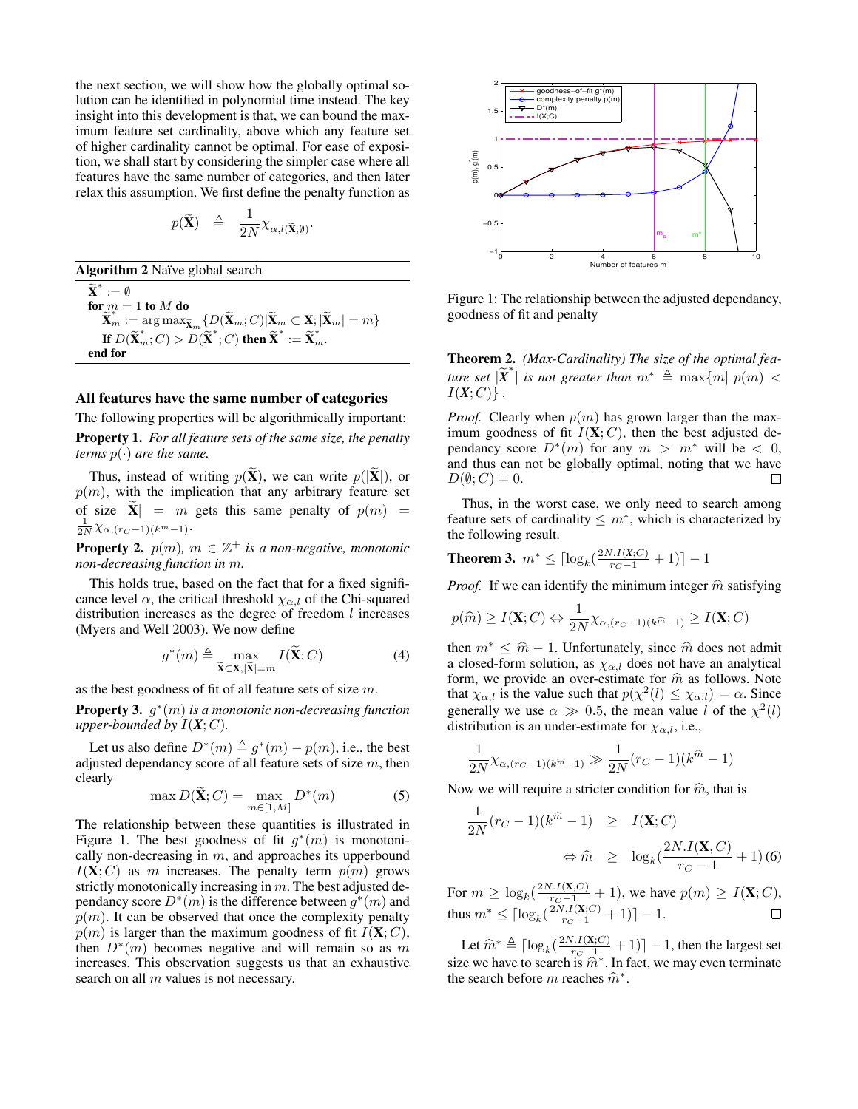the next section, we will show how the globally optimal solution can be identified in polynomial time instead. The key insight into this development is that, we can bound the maximum feature set cardinality, above which any feature set of higher cardinality cannot be optimal. For ease of exposition, we shall start by considering the simpler case where all features have the same number of categories, and then later relax this assumption. We first define the penalty function as

$$
p(\widetilde{\mathbf{X}}) \triangleq \frac{1}{2N} \chi_{\alpha, l(\widetilde{\mathbf{X}}, \emptyset)}.
$$

Algorithm 2 Naïve global search

 $\widetilde{\mathbf{X}}^* := \emptyset$ for  $m = 1$  to  $M$  do  $\widetilde{\mathbf{X}}_m^* := \argmax_{\mathbf{x}} \mathbf{X}_m \{ D(\widetilde{\mathbf{X}}_m; C) | \widetilde{\mathbf{X}}_m \subset \mathbf{X}; |\widetilde{\mathbf{X}}_m| = m \}$ If  $D(\widetilde{\mathbf{X}}_m^*, C) > D(\widetilde{\mathbf{X}}^*; C)$  then  $\widetilde{\mathbf{X}}^* := \widetilde{\mathbf{X}}_m^*$ . end for

#### All features have the same number of categories

The following properties will be algorithmically important:

Property 1. *For all feature sets of the same size, the penalty terms*  $p(\cdot)$  *are the same.* 

Thus, instead of writing  $p(\tilde{\mathbf{X}})$ , we can write  $p(|\tilde{\mathbf{X}}|)$ , or  $p(m)$ , with the implication that any arbitrary feature set of size  $|\tilde{\mathbf{X}}| = m$  gets this same penalty of  $p(m) =$  $\frac{1}{2N}\chi_{\alpha,(r_C-1)(k^m-1)}$ .

**Property 2.**  $p(m)$ ,  $m \in \mathbb{Z}^+$  *is a non-negative, monotonic non-decreasing function in* m*.*

This holds true, based on the fact that for a fixed significance level  $\alpha$ , the critical threshold  $\chi_{\alpha,l}$  of the Chi-squared distribution increases as the degree of freedom  $l$  increases (Myers and Well 2003). We now define

$$
g^*(m) \triangleq \max_{\widetilde{\mathbf{X}} \subset \mathbf{X}, |\widetilde{\mathbf{X}}| = m} I(\widetilde{\mathbf{X}}; C)
$$
(4)

as the best goodness of fit of all feature sets of size m.

Property 3. g ∗ (m) *is a monotonic non-decreasing function upper-bounded by*  $I(X; C)$ *.* 

Let us also define  $D^*(m) \triangleq g^*(m) - p(m)$ , i.e., the best adjusted dependancy score of all feature sets of size  $m$ , then clearly

$$
\max D(\widetilde{\mathbf{X}}; C) = \max_{m \in [1, M]} D^*(m) \tag{5}
$$

The relationship between these quantities is illustrated in Figure 1. The best goodness of fit  $g^*(m)$  is monotonically non-decreasing in  $m$ , and approaches its upperbound  $I(X; C)$  as m increases. The penalty term  $p(m)$  grows strictly monotonically increasing in  $m$ . The best adjusted dependancy score  $D^*(m)$  is the difference between  $g^*(m)$  and  $p(m)$ . It can be observed that once the complexity penalty  $p(m)$  is larger than the maximum goodness of fit  $I(X; C)$ , then  $D^*(m)$  becomes negative and will remain so as m increases. This observation suggests us that an exhaustive search on all  $m$  values is not necessary.



Figure 1: The relationship between the adjusted dependancy, goodness of fit and penalty

Theorem 2. *(Max-Cardinality) The size of the optimal fea-* $\lim_{M \to \infty}$  set  $|\widetilde{X}^*|$  is not greater than  $m^* \triangleq \max\{m | p(m)$  <  $\leq$  $I(X; C)$ .

*Proof.* Clearly when  $p(m)$  has grown larger than the maximum goodness of fit  $I(X; C)$ , then the best adjusted dependancy score  $D^*(m)$  for any  $m > m^*$  will be < 0, and thus can not be globally optimal, noting that we have  $D(\emptyset; C) = 0.$ П

Thus, in the worst case, we only need to search among feature sets of cardinality  $\leq m^*$ , which is characterized by the following result.

**Theorem 3.**  $m^* \leq \lceil \log_k(\frac{2N.I(X;C)}{r_C - 1} + 1) \rceil - 1$ 

*Proof.* If we can identify the minimum integer  $\hat{m}$  satisfying

$$
p(\widehat{m}) \ge I(\mathbf{X}; C) \Leftrightarrow \frac{1}{2N} \chi_{\alpha, (r_C - 1)(k^{\widehat{m}} - 1)} \ge I(\mathbf{X}; C)
$$

then  $m^* \leq \hat{m} - 1$ . Unfortunately, since  $\hat{m}$  does not admit a closed-form solution, as  $\chi_{\alpha,l}$  does not have an analytical form, we provide an over-estimate for  $\hat{m}$  as follows. Note form, we provide an over-estimate for  $\hat{m}$  as follows. Note that  $\chi_{\alpha,l}$  is the value such that  $p(\chi^2(l) \leq \chi_{\alpha,l}) = \alpha$ . Since generally we use  $\alpha \gg 0.5$ , the mean value l of the  $\chi^2(l)$ distribution is an under-estimate for  $\chi_{\alpha,l}$ , i.e.,

$$
\frac{1}{2N} \chi_{\alpha,(r_C-1)(k^{\widehat{m}}-1)} \gg \frac{1}{2N} (r_C - 1)(k^{\widehat{m}} - 1)
$$

Now we will require a stricter condition for  $\hat{m}$ , that is

$$
\frac{1}{2N}(r_C - 1)(k^{\hat{m}} - 1) \geq I(\mathbf{X}; C)
$$
  

$$
\Leftrightarrow \hat{m} \geq \log_k(\frac{2N.I(\mathbf{X}, C)}{r_C - 1} + 1)
$$
(6)

For  $m \ge \log_k(\frac{2N \cdot I(\mathbf{X}, C)}{r_C - 1} + 1)$ , we have  $p(m) \ge I(\mathbf{X}; C)$ , thus  $m^* \leq \lceil \log_k(\frac{2N.I(\mathbf{X};C)}{r_C - 1} + 1) \rceil - 1.$ 

Let  $\widehat{m}^* \triangleq \left[ \log_k \left( \frac{2N \cdot I(\mathbf{X};C)}{r_C - 1} + 1 \right) \right] - 1$ , then the largest set size we have to search is  $\hat{m}^*$ . In fact, we may even terminate<br>the search before m reaches  $\hat{m}^*$ the search before m reaches  $\hat{m}^*$ .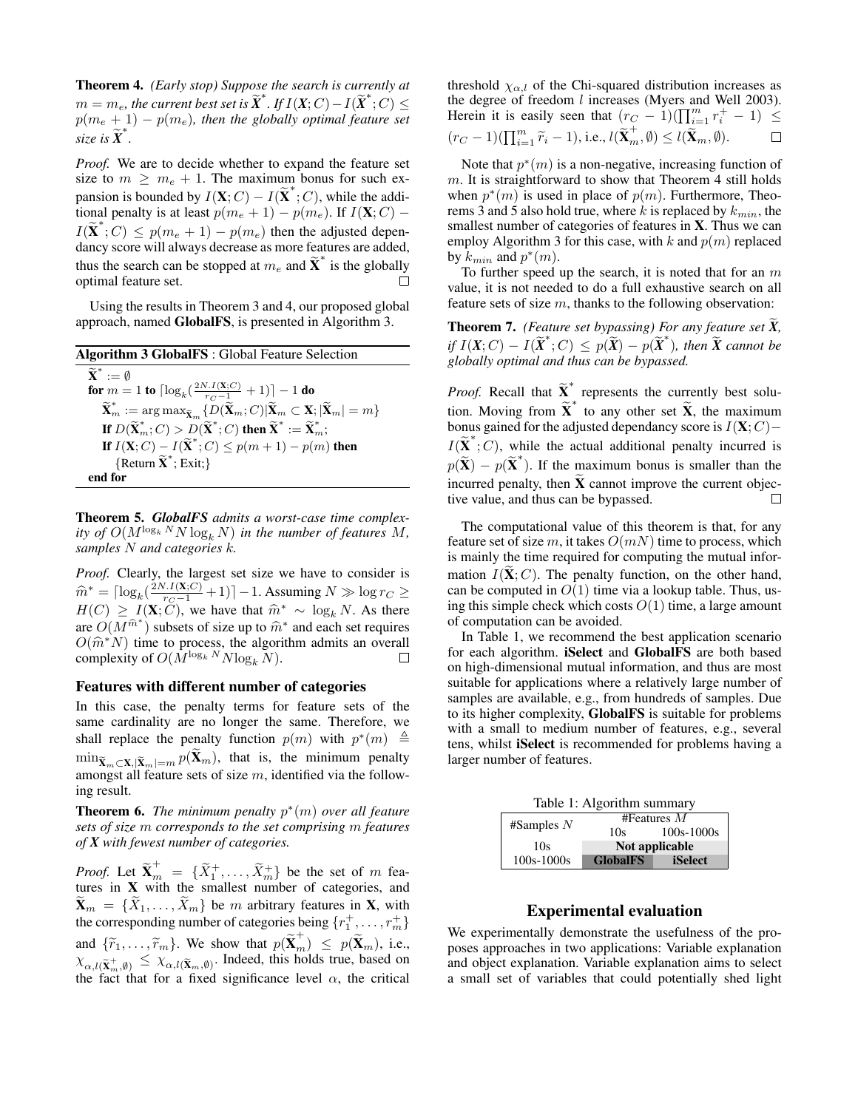Theorem 4. *(Early stop) Suppose the search is currently at*  $m = m_e$ , the current best set is  $\widetilde{X}^*$ , If  $I(X; C) - I(\widetilde{X}^*; C) \leq$  $p(m_e + 1) - p(m_e)$ , then the globally optimal feature set  $size$  *is*  $\widetilde{X}^*$ .

*Proof.* We are to decide whether to expand the feature set size to  $m \geq m_e + 1$ . The maximum bonus for such expansion is bounded by  $I(\mathbf{X}; C) - I(\widetilde{\mathbf{X}}^*, C)$ , while the additional penalty is at least  $p(m_e + 1) - p(m_e)$ . If  $I(\mathbf{X}; C)$  –  $I(\tilde{\mathbf{X}}^*, C) \leq p(m_e + 1) - p(m_e)$  then the adjusted dependancy score will always decrease as more features are added, thus the search can be stopped at  $m_e$  and  $\tilde{\textbf{X}}^*$  is the globally optimal feature set.  $\Box$ 

Using the results in Theorem 3 and 4, our proposed global approach, named GlobalFS, is presented in Algorithm 3.

| Algorithm 3 GlobalFS : Global Feature Selection                                                                                                                                         |
|-----------------------------------------------------------------------------------------------------------------------------------------------------------------------------------------|
| $\widetilde{\mathbf{X}}^* := \emptyset$                                                                                                                                                 |
| for $m = 1$ to $\lceil \log_k(\frac{2N.I(\mathbf{X};C)}{r_C-1} + 1) \rceil - 1$ do                                                                                                      |
| $\widetilde{\mathbf{X}}_m^* := \arg \max_{\widetilde{\mathbf{X}}_m} \{ D(\widetilde{\mathbf{X}}_m; C)   \widetilde{\mathbf{X}}_m \subset \mathbf{X};  \widetilde{\mathbf{X}}_m  = m \}$ |
| If $D(\widetilde{\mathbf{X}}_m^*, C) > D(\widetilde{\mathbf{X}}^*, C)$ then $\widetilde{\mathbf{X}}^* := \widetilde{\mathbf{X}}_m^*$ ;                                                  |
| If $I(X; C) - I(\tilde{X}^*; C) \leq p(m+1) - p(m)$ then                                                                                                                                |
| {Return $\widetilde{\mathbf{X}}^*$ ; Exit;}                                                                                                                                             |
| end for                                                                                                                                                                                 |

Theorem 5. *GlobalFS admits a worst-case time complexity of*  $O(M^{\log_k N} N \log_k N)$  *in the number of features* M, *samples* N *and categories* k*.*

*Proof.* Clearly, the largest set size we have to consider is  $\hat{m}^* = \left[ \log_k \left( \frac{2N.I(\mathbf{X};C)}{r_C - 1} + 1 \right) \right] - 1$ . Assuming  $N \gg \log r_C \ge$ <br> $H(C) \rightarrow I(\mathbf{X};C)$  we have that  $\hat{\mathcal{R}}^*$  being  $N$ , As there  $H(C) \geq I(\mathbf{X}; \tilde{C})$ , we have that  $\hat{m}^* \sim \log_k N$ . As there <br>are  $O(M\hat{m}^*)$  subsets of size up to  $\hat{m}^*$  and each set requires are  $O(M^{\hat{m}^*})$  subsets of size up to  $\hat{m}^*$  and each set requires  $O(\hat{m}^*N)$  time to process the algorithm admits an overall  $O(\hat{m}^*N)$  time to process, the algorithm admits an overall complexity of  $O(M^{\log_k N}N \log_N N)$ complexity of  $O(M^{\log_k N} N \log_k N)$ .

#### Features with different number of categories

In this case, the penalty terms for feature sets of the same cardinality are no longer the same. Therefore, we shall replace the penalty function  $p(m)$  with  $p^*(m) \triangleq$  $\min_{\widetilde{\mathbf{X}}_m \subset \mathbf{X}, |\widetilde{\mathbf{X}}_m|=m} p(\widetilde{\mathbf{X}}_m)$ , that is, the minimum penalty amongst all feature sets of size  $m$ , identified via the following result.

**Theorem 6.** The minimum penalty  $p^*(m)$  over all feature *sets of size* m *corresponds to the set comprising* m *features of X with fewest number of categories.*

*Proof.* Let  $\widetilde{\mathbf{X}}_m^+ = {\{\widetilde{X}_1^+, \dots, \widetilde{X}_m^+\}}$  be the set of m features in X with the smallest number of categories, and  $\mathbf{X}_m = \{X_1, \ldots, X_m\}$  be m arbitrary features in **X**, with the corresponding number of categories being  $\{r_1^+, \ldots, r_m^+\}$ and  $\{\widetilde{r}_1, \ldots, \widetilde{r}_m\}$ . We show that  $p(\widetilde{\mathbf{X}}_m^+) \leq p(\widetilde{\mathbf{X}}_m)$ , i.e.,  $\chi_{\alpha, l(\tilde{\mathbf{X}}_m^+, \emptyset)} \leq \chi_{\alpha, l(\tilde{\mathbf{X}}_m, \emptyset)}$ . Indeed, this holds true, based on the fact that for a fixed significance level  $\alpha$ , the critical threshold  $\chi_{\alpha,l}$  of the Chi-squared distribution increases as the degree of freedom l increases (Myers and Well 2003). Herein it is easily seen that  $(r_C - 1)(\prod_{i=1}^m r_i^+ - 1) \le$  $(r_C-1)(\prod_{i=1}^m \widetilde{r}_i-1),$  i.e.,  $l(\widetilde{\mathbf{X}}_m^+, \emptyset) \leq l(\widetilde{\mathbf{X}}_m, \emptyset).$  $\Box$ 

Note that  $p^*(m)$  is a non-negative, increasing function of m. It is straightforward to show that Theorem 4 still holds when  $p^*(m)$  is used in place of  $p(m)$ . Furthermore, Theorems 3 and 5 also hold true, where  $k$  is replaced by  $k_{min}$ , the smallest number of categories of features in X. Thus we can employ Algorithm 3 for this case, with  $k$  and  $p(m)$  replaced by  $\overline{k_{min}}$  and  $p^*(m)$ .

To further speed up the search, it is noted that for an  $m$ value, it is not needed to do a full exhaustive search on all feature sets of size  $m$ , thanks to the following observation:

Theorem 7. *(Feature set bypassing) For any feature set X*, *if*  $I(X; C) - I(\widetilde{X}^*, C) \leq p(\widetilde{X}) - p(\widetilde{X}^*)$ , then  $\widetilde{X}$  cannot be *globally optimal and thus can be bypassed.*

*Proof.* Recall that  $\widetilde{\mathbf{X}}_{\infty}^*$  represents the currently best solution. Moving from  $\widetilde{\mathbf{X}}^*$  to any other set  $\widetilde{\mathbf{X}}$ , the maximum<br>homeoping for the editor of degree degrees is  $I(\mathbf{X}, G)$ bonus gained for the adjusted dependancy score is  $I(X; C)$ −  $I(\widetilde{\mathbf{X}}^*, C)$ , while the actual additional penalty incurred is  $p(\tilde{\mathbf{X}}) - p(\tilde{\mathbf{X}}^*)$ . If the maximum bonus is smaller than the incurred penalty, then  $\bar{X}$  cannot improve the current objective value and thus can be bypassed tive value, and thus can be bypassed.

The computational value of this theorem is that, for any feature set of size m, it takes  $O(mN)$  time to process, which is mainly the time required for computing the mutual information  $I(X; C)$ . The penalty function, on the other hand, can be computed in  $O(1)$  time via a lookup table. Thus, using this simple check which costs  $O(1)$  time, a large amount of computation can be avoided.

In Table 1, we recommend the best application scenario for each algorithm. iSelect and GlobalFS are both based on high-dimensional mutual information, and thus are most suitable for applications where a relatively large number of samples are available, e.g., from hundreds of samples. Due to its higher complexity, GlobalFS is suitable for problems with a small to medium number of features, e.g., several tens, whilst iSelect is recommended for problems having a larger number of features.

Table 1: Algorithm summary

|                | #Features $M$   |                |  |  |  |
|----------------|-----------------|----------------|--|--|--|
| #Samples $N$   | 10s             | $100s - 1000s$ |  |  |  |
| 10s            | Not applicable  |                |  |  |  |
| $100s - 1000s$ | <b>GlobalFS</b> | <b>iSelect</b> |  |  |  |

#### Experimental evaluation

We experimentally demonstrate the usefulness of the proposes approaches in two applications: Variable explanation and object explanation. Variable explanation aims to select a small set of variables that could potentially shed light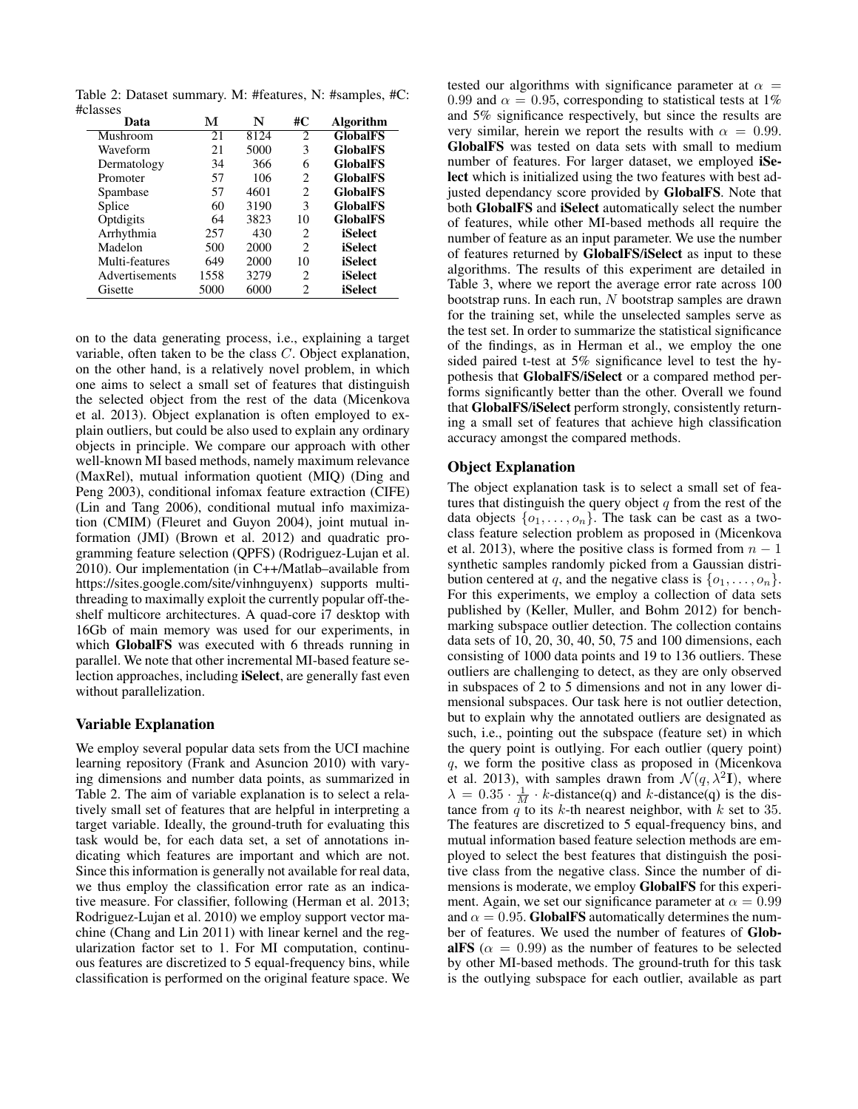Table 2: Dataset summary. M: #features, N: #samples, #C: #classes

| м    | N    | #C | <b>Algorithm</b> |
|------|------|----|------------------|
| 21   | 8124 | 2  | <b>GlobalFS</b>  |
| 21   | 5000 | 3  | <b>GlobalFS</b>  |
| 34   | 366  | 6  | <b>GlobalFS</b>  |
| 57   | 106  | 2  | <b>GlobalFS</b>  |
| 57   | 4601 | 2  | <b>GlobalFS</b>  |
| 60   | 3190 | 3  | <b>GlobalFS</b>  |
| 64   | 3823 | 10 | <b>GlobalFS</b>  |
| 257  | 430  | 2  | iSelect          |
| 500  | 2000 | 2  | iSelect          |
| 649  | 2000 | 10 | iSelect          |
| 1558 | 3279 | 2  | iSelect          |
| 5000 | 6000 | 2  | iSelect          |
|      |      |    |                  |

on to the data generating process, i.e., explaining a target variable, often taken to be the class C. Object explanation, on the other hand, is a relatively novel problem, in which one aims to select a small set of features that distinguish the selected object from the rest of the data (Micenkova et al. 2013). Object explanation is often employed to explain outliers, but could be also used to explain any ordinary objects in principle. We compare our approach with other well-known MI based methods, namely maximum relevance (MaxRel), mutual information quotient (MIQ) (Ding and Peng 2003), conditional infomax feature extraction (CIFE) (Lin and Tang 2006), conditional mutual info maximization (CMIM) (Fleuret and Guyon 2004), joint mutual information (JMI) (Brown et al. 2012) and quadratic programming feature selection (QPFS) (Rodriguez-Lujan et al. 2010). Our implementation (in C++/Matlab–available from https://sites.google.com/site/vinhnguyenx) supports multithreading to maximally exploit the currently popular off-theshelf multicore architectures. A quad-core i7 desktop with 16Gb of main memory was used for our experiments, in which GlobalFS was executed with 6 threads running in parallel. We note that other incremental MI-based feature selection approaches, including iSelect, are generally fast even without parallelization.

## Variable Explanation

We employ several popular data sets from the UCI machine learning repository (Frank and Asuncion 2010) with varying dimensions and number data points, as summarized in Table 2. The aim of variable explanation is to select a relatively small set of features that are helpful in interpreting a target variable. Ideally, the ground-truth for evaluating this task would be, for each data set, a set of annotations indicating which features are important and which are not. Since this information is generally not available for real data, we thus employ the classification error rate as an indicative measure. For classifier, following (Herman et al. 2013; Rodriguez-Lujan et al. 2010) we employ support vector machine (Chang and Lin 2011) with linear kernel and the regularization factor set to 1. For MI computation, continuous features are discretized to 5 equal-frequency bins, while classification is performed on the original feature space. We

tested our algorithms with significance parameter at  $\alpha =$ 0.99 and  $\alpha = 0.95$ , corresponding to statistical tests at 1% and 5% significance respectively, but since the results are very similar, herein we report the results with  $\alpha = 0.99$ . GlobalFS was tested on data sets with small to medium number of features. For larger dataset, we employed **iSe**lect which is initialized using the two features with best adjusted dependancy score provided by GlobalFS. Note that both GlobalFS and iSelect automatically select the number of features, while other MI-based methods all require the number of feature as an input parameter. We use the number of features returned by GlobalFS/iSelect as input to these algorithms. The results of this experiment are detailed in Table 3, where we report the average error rate across 100 bootstrap runs. In each run, N bootstrap samples are drawn for the training set, while the unselected samples serve as the test set. In order to summarize the statistical significance of the findings, as in Herman et al., we employ the one sided paired t-test at 5% significance level to test the hypothesis that GlobalFS/iSelect or a compared method performs significantly better than the other. Overall we found that GlobalFS/iSelect perform strongly, consistently returning a small set of features that achieve high classification accuracy amongst the compared methods.

#### Object Explanation

The object explanation task is to select a small set of features that distinguish the query object  $q$  from the rest of the data objects  $\{o_1, \ldots, o_n\}$ . The task can be cast as a twoclass feature selection problem as proposed in (Micenkova et al. 2013), where the positive class is formed from  $n - 1$ synthetic samples randomly picked from a Gaussian distribution centered at q, and the negative class is  $\{o_1, \ldots, o_n\}$ . For this experiments, we employ a collection of data sets published by (Keller, Muller, and Bohm 2012) for benchmarking subspace outlier detection. The collection contains data sets of 10, 20, 30, 40, 50, 75 and 100 dimensions, each consisting of 1000 data points and 19 to 136 outliers. These outliers are challenging to detect, as they are only observed in subspaces of 2 to 5 dimensions and not in any lower dimensional subspaces. Our task here is not outlier detection, but to explain why the annotated outliers are designated as such, i.e., pointing out the subspace (feature set) in which the query point is outlying. For each outlier (query point) q, we form the positive class as proposed in (Micenkova et al. 2013), with samples drawn from  $\mathcal{N}(q, \lambda^2 I)$ , where  $\lambda = 0.35 \cdot \frac{1}{M} \cdot k$ -distance(q) and k-distance(q) is the distance from  $q$  to its k-th nearest neighbor, with k set to 35. The features are discretized to 5 equal-frequency bins, and mutual information based feature selection methods are employed to select the best features that distinguish the positive class from the negative class. Since the number of dimensions is moderate, we employ GlobalFS for this experiment. Again, we set our significance parameter at  $\alpha = 0.99$ and  $\alpha = 0.95$ . GlobalFS automatically determines the number of features. We used the number of features of GlobalFS ( $\alpha = 0.99$ ) as the number of features to be selected by other MI-based methods. The ground-truth for this task is the outlying subspace for each outlier, available as part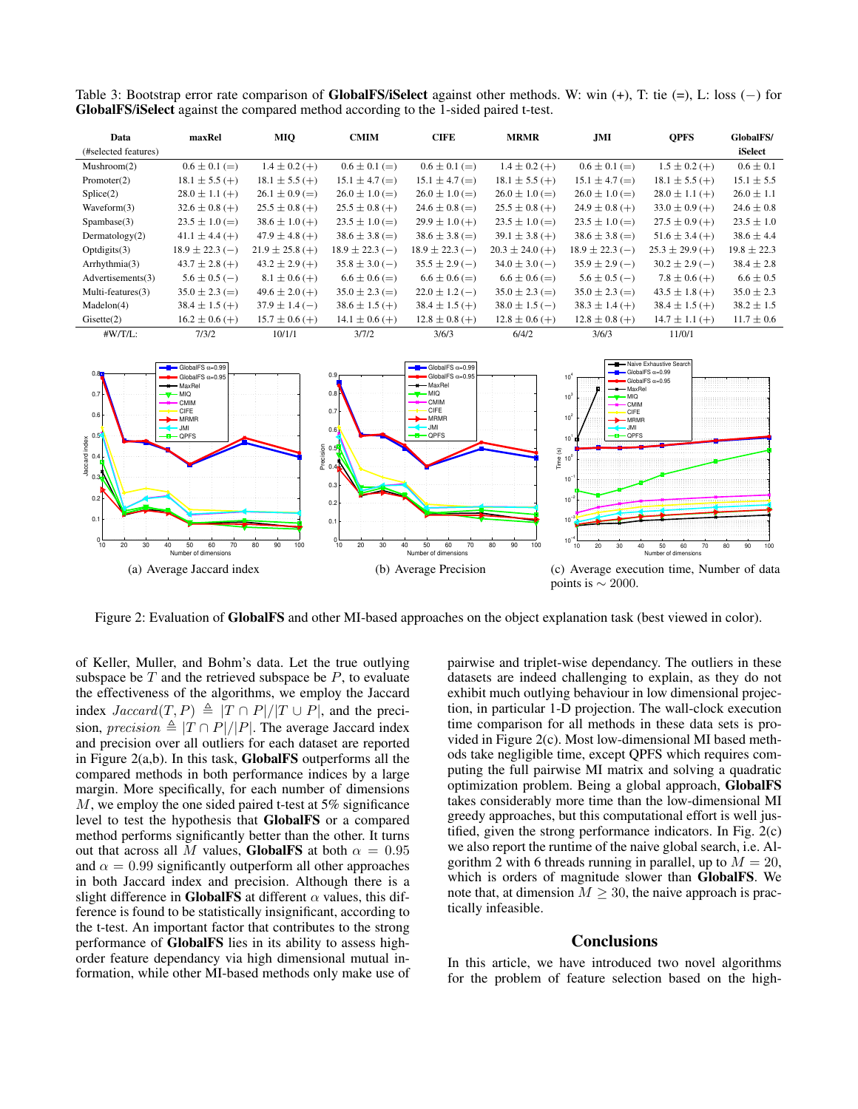Data maxRel MIQ CMIM CIFE MRMR JMI QPFS GlobalFS/ (#selected features) iSelect Mushroom(2)  $0.6 \pm 0.1$  (=)  $1.4 \pm 0.2$  (+)  $0.6 \pm 0.1$  (=)  $0.6 \pm 0.1$  (=)  $1.4 \pm 0.2$  (+)  $0.6 \pm 0.1$  (=)  $1.5 \pm 0.2$  (+)  $0.6 \pm 0.1$ Promoter(2)  $18.1 \pm 5.5$  (+)  $18.1 \pm 5.5$  (+)  $15.1 \pm 4.7$  (=)  $15.1 \pm 4.7$  (=)  $18.1 \pm 5.5$  (+)  $15.1 \pm 4.7$  (=)  $18.1 \pm 5.5$  (+)  $15.1 \pm 5.5$  $\text{Splice}(2)$  28.0  $\pm$  1.1 (+) 26.1  $\pm$  0.9 (=) 26.0  $\pm$  1.0 (=) 26.0  $\pm$  1.0 (=) 26.0  $\pm$  1.0 (=) 26.0  $\pm$  1.0 (=) 28.0  $\pm$  1.1 (+) 26.0  $\pm$  1.1 Waveform(3)  $32.6 \pm 0.8 + 25.5 \pm 0.8 + 25.5 \pm 0.8 + 25.5 \pm 0.8 + 25.5 \pm 0.8 + 25.5 \pm 0.8 + 25.5 \pm 0.8 + 25.5 \pm 0.8 + 25.5 \pm 0.8 + 25.5 \pm 0.8 + 25.5 \pm 0.8 + 25.5 \pm 0.8 + 25.5 \pm 0.8 + 25.5 \pm 0.8 + 25.5 \pm 0.8 + 25.5 \pm 0.8 + 25.5 \pm 0.8 + 25.5$  $S$ pambase(3) 23.5  $\pm$  1.0 (=) 38.6  $\pm$  1.0 (+) 23.5  $\pm$  1.0 (=) 29.9  $\pm$  1.0 (+) 23.5  $\pm$  1.0 (=) 27.5  $\pm$  0.9 (+) 23.5  $\pm$  1.0 Dermatology(2)  $41.1 \pm 4.4$  (+)  $47.9 \pm 4.8$  (+)  $38.6 \pm 3.8$  (=)  $38.6 \pm 3.8$  (=)  $39.1 \pm 3.8$  (+)  $38.6 \pm 3.8$  (=)  $51.6 \pm 3.4$  (+)  $38.6 \pm 4.4$  $\text{Optidigits}(3)$  18.9  $\pm$  22.3 (−) 21.9  $\pm$  25.8 (+) 18.9  $\pm$  22.3 (−) 18.9  $\pm$  22.3 (−) 20.3  $\pm$  24.0 (+) 18.9  $\pm$  22.3 (−) 25.3  $\pm$  29.9 (+) 19.8  $\pm$  22.3

Arrhythmia(3)  $43.7 \pm 2.8 + 43.2 \pm 2.9 + 35.8 \pm 3.0 - 35.5 \pm 2.9 - 34.0 \pm 3.0 - 35.9 \pm 2.9 - 30.2 \pm 2.9 - 38.4 \pm 2.8$ Advertisements(3)  $5.6 \pm 0.5$  (−)  $8.1 \pm 0.6$  (+)  $6.6 \pm 0.6$  (=)  $6.6 \pm 0.6$  (=)  $6.6 \pm 0.6$  (=)  $5.6 \pm 0.5$  (−)  $7.8 \pm 0.6$  (+)  $6.6 \pm 0.5$ Multi-features(3)  $35.0 \pm 2.3 (=)$   $49.6 \pm 2.0 (+)$   $35.0 \pm 2.3 (=)$   $22.0 \pm 1.2 (-)$   $35.0 \pm 2.3 (=)$   $35.0 \pm 2.3 (=)$   $43.5 \pm 1.8 (+)$   $35.0 \pm 2.3$  $\text{Madelon}(4)$   $38.4 \pm 1.5 \,(+)$   $37.9 \pm 1.4 \,(-)$   $38.6 \pm 1.5 \,(+)$   $38.4 \pm 1.5 \,(+)$   $38.0 \pm 1.5 \,(-)$   $38.3 \pm 1.4 \,(+)$   $38.4 \pm 1.5 \,(+)$   $38.2 \pm 1.5 \,(-)$ Gisette(2)  $16.2 \pm 0.6$  (+)  $15.7 \pm 0.6$  (+)  $14.1 \pm 0.6$  (+)  $12.8 \pm 0.8$  (+)  $12.8 \pm 0.6$  (+)  $12.8 \pm 0.8$  (+)  $14.7 \pm 1.1$  (+)  $11.7 \pm 0.6$ 

#W/T/L: 7/3/2 10/1/1 3/7/2 3/6/3 6/4/2 3/6/3 11/0/1

Table 3: Bootstrap error rate comparison of GlobalFS/iSelect against other methods. W: win (+), T: tie (=), L: loss (−) for GlobalFS/iSelect against the compared method according to the 1-sided paired t-test.



Figure 2: Evaluation of GlobalFS and other MI-based approaches on the object explanation task (best viewed in color).

of Keller, Muller, and Bohm's data. Let the true outlying subspace be  $T$  and the retrieved subspace be  $P$ , to evaluate the effectiveness of the algorithms, we employ the Jaccard index  $Jaccard(T, P) \triangleq |T \cap P|/|T \cup P|$ , and the precision, precision  $\triangleq |T \cap P|/|P|$ . The average Jaccard index and precision over all outliers for each dataset are reported in Figure 2(a,b). In this task, GlobalFS outperforms all the compared methods in both performance indices by a large margin. More specifically, for each number of dimensions M, we employ the one sided paired t-test at 5% significance level to test the hypothesis that GlobalFS or a compared method performs significantly better than the other. It turns out that across all M values, GlobalFS at both  $\alpha = 0.95$ and  $\alpha = 0.99$  significantly outperform all other approaches in both Jaccard index and precision. Although there is a slight difference in GlobalFS at different  $\alpha$  values, this difference is found to be statistically insignificant, according to the t-test. An important factor that contributes to the strong performance of GlobalFS lies in its ability to assess highorder feature dependancy via high dimensional mutual information, while other MI-based methods only make use of

pairwise and triplet-wise dependancy. The outliers in these datasets are indeed challenging to explain, as they do not exhibit much outlying behaviour in low dimensional projection, in particular 1-D projection. The wall-clock execution time comparison for all methods in these data sets is provided in Figure 2(c). Most low-dimensional MI based methods take negligible time, except QPFS which requires computing the full pairwise MI matrix and solving a quadratic optimization problem. Being a global approach, GlobalFS takes considerably more time than the low-dimensional MI greedy approaches, but this computational effort is well justified, given the strong performance indicators. In Fig. 2(c) we also report the runtime of the naive global search, i.e. Algorithm 2 with 6 threads running in parallel, up to  $M = 20$ , which is orders of magnitude slower than GlobalFS. We note that, at dimension  $M \geq 30$ , the naive approach is practically infeasible.

#### **Conclusions**

In this article, we have introduced two novel algorithms for the problem of feature selection based on the high